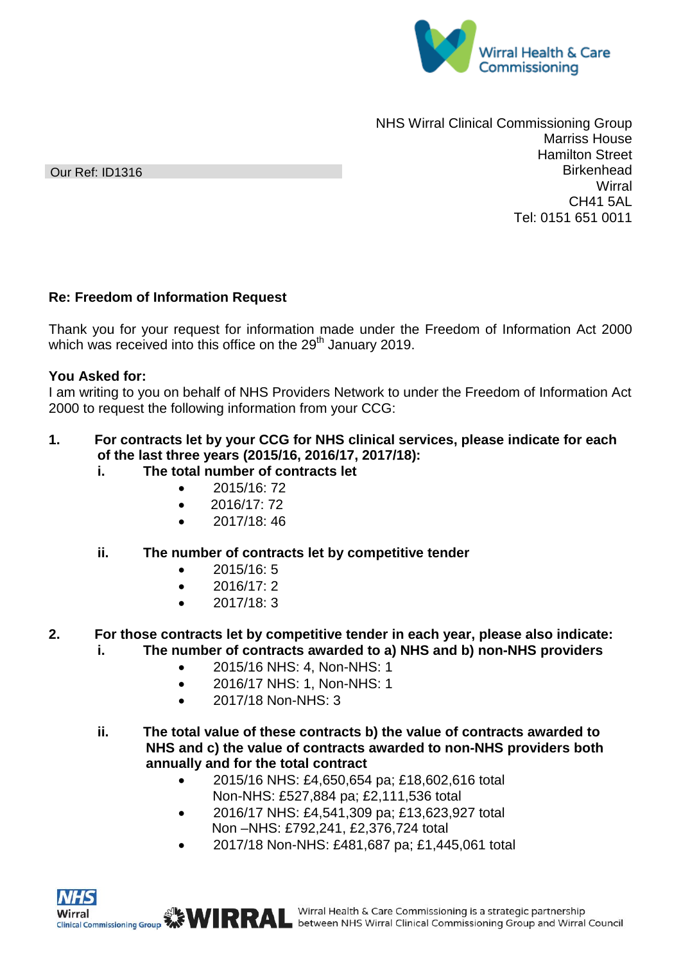

NHS Wirral Clinical Commissioning Group Marriss House Hamilton Street **Birkenhead Wirral** CH41 5AL Tel: 0151 651 0011

## **Re: Freedom of Information Request**

Thank you for your request for information made under the Freedom of Information Act 2000 which was received into this office on the 29<sup>th</sup> January 2019.

## **You Asked for:**

I am writing to you on behalf of NHS Providers Network to under the Freedom of Information Act 2000 to request the following information from your CCG:

## **1. For contracts let by your CCG for NHS clinical services, please indicate for each of the last three years (2015/16, 2016/17, 2017/18):**

- **i. The total number of contracts let**
	- 2015/16: 72
	- $\bullet$  2016/17: 72
	- $\bullet$  2017/18:46
- **ii. The number of contracts let by competitive tender**
	- 2015/16: 5
	- 2016/17:2
	- 2017/18: 3
- **2. For those contracts let by competitive tender in each year, please also indicate: i. The number of contracts awarded to a) NHS and b) non-NHS providers**
	- 2015/16 NHS: 4, Non-NHS: 1
	- 2016/17 NHS: 1, Non-NHS: 1
	- 2017/18 Non-NHS: 3
	- **ii. The total value of these contracts b) the value of contracts awarded to NHS and c) the value of contracts awarded to non-NHS providers both annually and for the total contract**
		- 2015/16 NHS: £4,650,654 pa; £18,602,616 total Non-NHS: £527,884 pa; £2,111,536 total
		- 2016/17 NHS: £4,541,309 pa; £13,623,927 total Non –NHS: £792,241, £2,376,724 total
		- 2017/18 Non-NHS: £481,687 pa; £1,445,061 total



Our Ref: ID1316